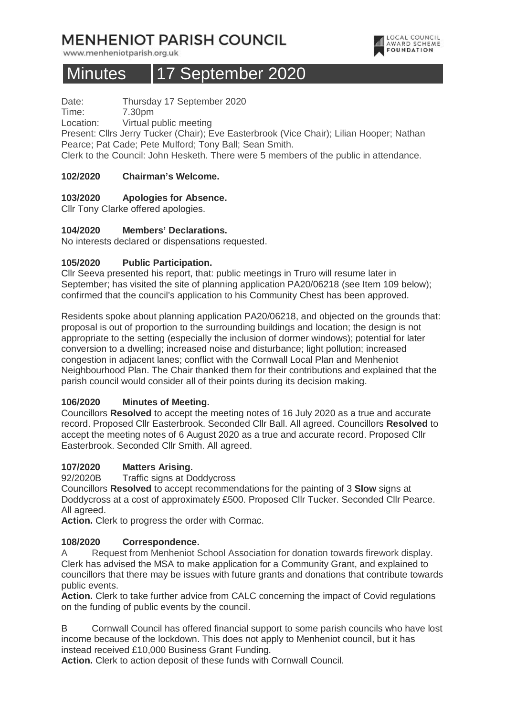# **MENHENIOT PARISH COUNCIL**

www.menheniotparish.org.uk

# Minutes 17 September 2020



Date: Thursday 17 September 2020

Time: 7.30pm

Location: Virtual public meeting

Present: Cllrs Jerry Tucker (Chair); Eve Easterbrook (Vice Chair); Lilian Hooper; Nathan Pearce; Pat Cade; Pete Mulford; Tony Ball; Sean Smith.

Clerk to the Council: John Hesketh. There were 5 members of the public in attendance.

#### **102/2020 Chairman's Welcome.**

#### **103/2020 Apologies for Absence.**

Cllr Tony Clarke offered apologies.

#### **104/2020 Members' Declarations.**

No interests declared or dispensations requested.

#### **105/2020 Public Participation.**

Cllr Seeva presented his report, that: public meetings in Truro will resume later in September; has visited the site of planning application PA20/06218 (see Item 109 below); confirmed that the council's application to his Community Chest has been approved.

Residents spoke about planning application PA20/06218, and objected on the grounds that: proposal is out of proportion to the surrounding buildings and location; the design is not appropriate to the setting (especially the inclusion of dormer windows); potential for later conversion to a dwelling; increased noise and disturbance; light pollution; increased congestion in adjacent lanes; conflict with the Cornwall Local Plan and Menheniot Neighbourhood Plan. The Chair thanked them for their contributions and explained that the parish council would consider all of their points during its decision making.

#### **106/2020 Minutes of Meeting.**

Councillors **Resolved** to accept the meeting notes of 16 July 2020 as a true and accurate record. Proposed Cllr Easterbrook. Seconded Cllr Ball. All agreed. Councillors **Resolved** to accept the meeting notes of 6 August 2020 as a true and accurate record. Proposed Cllr Easterbrook. Seconded Cllr Smith. All agreed.

#### **107/2020 Matters Arising.**

92/2020B Traffic signs at Doddycross

Councillors **Resolved** to accept recommendations for the painting of 3 **Slow** signs at Doddycross at a cost of approximately £500. Proposed Cllr Tucker. Seconded Cllr Pearce. All agreed.

**Action.** Clerk to progress the order with Cormac.

#### **108/2020 Correspondence.**

A Request from Menheniot School Association for donation towards firework display. Clerk has advised the MSA to make application for a Community Grant, and explained to councillors that there may be issues with future grants and donations that contribute towards public events.

**Action.** Clerk to take further advice from CALC concerning the impact of Covid regulations on the funding of public events by the council.

B Cornwall Council has offered financial support to some parish councils who have lost income because of the lockdown. This does not apply to Menheniot council, but it has instead received £10,000 Business Grant Funding.

**Action.** Clerk to action deposit of these funds with Cornwall Council.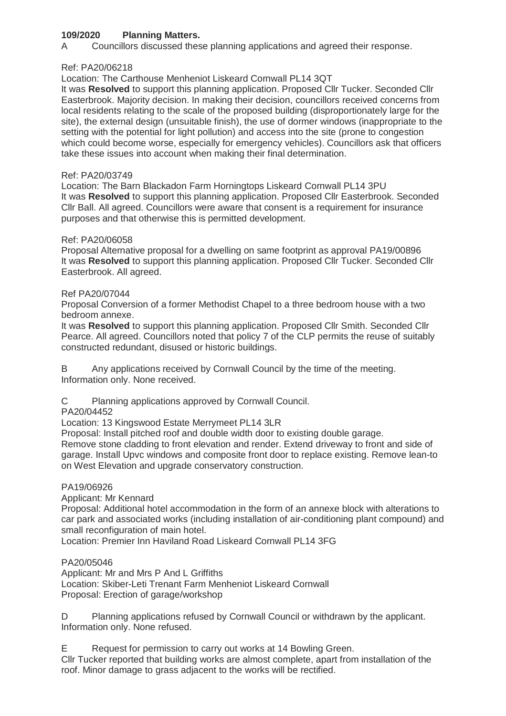# **109/2020 Planning Matters.**

A Councillors discussed these planning applications and agreed their response.

#### Ref: PA20/06218

Location: The Carthouse Menheniot Liskeard Cornwall PL14 3QT

It was **Resolved** to support this planning application. Proposed Cllr Tucker. Seconded Cllr Easterbrook. Majority decision. In making their decision, councillors received concerns from local residents relating to the scale of the proposed building (disproportionately large for the site), the external design (unsuitable finish), the use of dormer windows (inappropriate to the setting with the potential for light pollution) and access into the site (prone to congestion which could become worse, especially for emergency vehicles). Councillors ask that officers take these issues into account when making their final determination.

#### Ref: PA20/03749

Location: The Barn Blackadon Farm Horningtops Liskeard Cornwall PL14 3PU It was **Resolved** to support this planning application. Proposed Cllr Easterbrook. Seconded Cllr Ball. All agreed. Councillors were aware that consent is a requirement for insurance purposes and that otherwise this is permitted development.

#### Ref: PA20/06058

Proposal Alternative proposal for a dwelling on same footprint as approval PA19/00896 It was **Resolved** to support this planning application. Proposed Cllr Tucker. Seconded Cllr Easterbrook. All agreed.

#### Ref PA20/07044

Proposal Conversion of a former Methodist Chapel to a three bedroom house with a two bedroom annexe.

It was **Resolved** to support this planning application. Proposed Cllr Smith. Seconded Cllr Pearce. All agreed. Councillors noted that policy 7 of the CLP permits the reuse of suitably constructed redundant, disused or historic buildings.

B Any applications received by Cornwall Council by the time of the meeting. Information only. None received.

C Planning applications approved by Cornwall Council.

PA20/04452

Location: 13 Kingswood Estate Merrymeet PL14 3LR

Proposal: Install pitched roof and double width door to existing double garage.

Remove stone cladding to front elevation and render. Extend driveway to front and side of garage. Install Upvc windows and composite front door to replace existing. Remove lean-to on West Elevation and upgrade conservatory construction.

#### PA19/06926

Applicant: Mr Kennard

Proposal: Additional hotel accommodation in the form of an annexe block with alterations to car park and associated works (including installation of air-conditioning plant compound) and small reconfiguration of main hotel.

Location: Premier Inn Haviland Road Liskeard Cornwall PL14 3FG

#### PA20/05046

Applicant: Mr and Mrs P And L Griffiths Location: Skiber-Leti Trenant Farm Menheniot Liskeard Cornwall Proposal: Erection of garage/workshop

D Planning applications refused by Cornwall Council or withdrawn by the applicant. Information only. None refused.

E Request for permission to carry out works at 14 Bowling Green. Cllr Tucker reported that building works are almost complete, apart from installation of the roof. Minor damage to grass adjacent to the works will be rectified.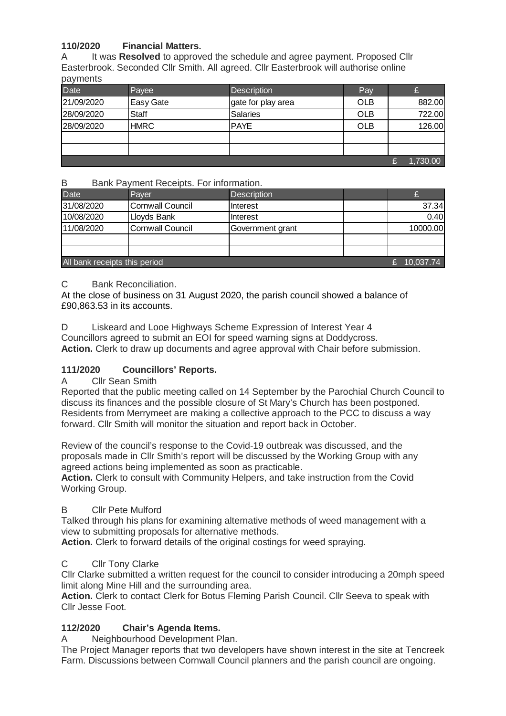# **110/2020 Financial Matters.**

A It was **Resolved** to approved the schedule and agree payment. Proposed Cllr Easterbrook. Seconded Cllr Smith. All agreed. Cllr Easterbrook will authorise online payments

| <b>Date</b> | Payee            | <b>Description</b> | Pay        |          |
|-------------|------------------|--------------------|------------|----------|
| 21/09/2020  | <b>Easy Gate</b> | gate for play area | <b>OLB</b> | 882.00   |
| 28/09/2020  | <b>Staff</b>     | <b>Salaries</b>    | <b>OLB</b> | 722.00   |
| 28/09/2020  | <b>HMRC</b>      | <b>PAYE</b>        | <b>OLB</b> | 126.00   |
|             |                  |                    |            |          |
|             |                  |                    |            |          |
|             |                  |                    |            | 1,730.00 |

#### B Bank Payment Receipts. For information.

| <b>Date</b>                   | Paver                   | <b>Description</b> |  |          |
|-------------------------------|-------------------------|--------------------|--|----------|
| 31/08/2020                    | <b>Cornwall Council</b> | Interest           |  | 37.34    |
| 10/08/2020                    | Lloyds Bank             | Interest           |  | 0.40     |
| 11/08/2020                    | <b>Cornwall Council</b> | Government grant   |  | 10000.00 |
|                               |                         |                    |  |          |
|                               |                         |                    |  |          |
| All bank receipts this period | 10,037.74               |                    |  |          |

#### C Bank Reconciliation.

At the close of business on 31 August 2020, the parish council showed a balance of £90,863.53 in its accounts.

D Liskeard and Looe Highways Scheme Expression of Interest Year 4

Councillors agreed to submit an EOI for speed warning signs at Doddycross.

**Action.** Clerk to draw up documents and agree approval with Chair before submission.

# **111/2020 Councillors' Reports.**

#### A Cllr Sean Smith

Reported that the public meeting called on 14 September by the Parochial Church Council to discuss its finances and the possible closure of St Mary's Church has been postponed. Residents from Merrymeet are making a collective approach to the PCC to discuss a way forward. Cllr Smith will monitor the situation and report back in October.

Review of the council's response to the Covid-19 outbreak was discussed, and the proposals made in Cllr Smith's report will be discussed by the Working Group with any agreed actions being implemented as soon as practicable.

**Action.** Clerk to consult with Community Helpers, and take instruction from the Covid Working Group.

#### B Cllr Pete Mulford

Talked through his plans for examining alternative methods of weed management with a view to submitting proposals for alternative methods.

**Action.** Clerk to forward details of the original costings for weed spraying.

#### C Cllr Tony Clarke

Cllr Clarke submitted a written request for the council to consider introducing a 20mph speed limit along Mine Hill and the surrounding area.

**Action.** Clerk to contact Clerk for Botus Fleming Parish Council. Cllr Seeva to speak with Cllr Jesse Foot.

# **112/2020 Chair's Agenda Items.**

A Neighbourhood Development Plan.

The Project Manager reports that two developers have shown interest in the site at Tencreek Farm. Discussions between Cornwall Council planners and the parish council are ongoing.